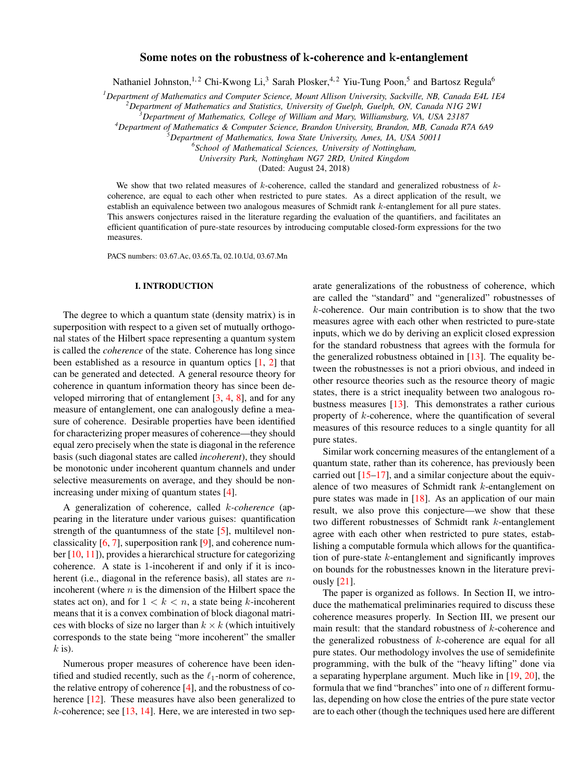# Some notes on the robustness of k-coherence and k-entanglement

Nathaniel Johnston,  $^{1,2}$  Chi-Kwong Li,<sup>3</sup> Sarah Plosker,  $^{4,2}$  Yiu-Tung Poon,<sup>5</sup> and Bartosz Regula<sup>6</sup>

*<sup>1</sup>Department of Mathematics and Computer Science, Mount Allison University, Sackville, NB, Canada E4L 1E4*

*<sup>2</sup>Department of Mathematics and Statistics, University of Guelph, Guelph, ON, Canada N1G 2W1*

*<sup>3</sup>Department of Mathematics, College of William and Mary, Williamsburg, VA, USA 23187*

*<sup>4</sup>Department of Mathematics & Computer Science, Brandon University, Brandon, MB, Canada R7A 6A9*

*<sup>5</sup>Department of Mathematics, Iowa State University, Ames, IA, USA 50011*

*6 School of Mathematical Sciences, University of Nottingham,*

*University Park, Nottingham NG7 2RD, United Kingdom*

(Dated: August 24, 2018)

We show that two related measures of  $k$ -coherence, called the standard and generalized robustness of  $k$ coherence, are equal to each other when restricted to pure states. As a direct application of the result, we establish an equivalence between two analogous measures of Schmidt rank k-entanglement for all pure states. This answers conjectures raised in the literature regarding the evaluation of the quantifiers, and facilitates an efficient quantification of pure-state resources by introducing computable closed-form expressions for the two measures.

PACS numbers: 03.67.Ac, 03.65.Ta, 02.10.Ud, 03.67.Mn

### I. INTRODUCTION

The degree to which a quantum state (density matrix) is in superposition with respect to a given set of mutually orthogonal states of the Hilbert space representing a quantum system is called the *coherence* of the state. Coherence has long since been established as a resource in quantum optics  $[1, 2]$  $[1, 2]$  $[1, 2]$  that can be generated and detected. A general resource theory for coherence in quantum information theory has since been developed mirroring that of entanglement [\[3,](#page-7-2) [4,](#page-7-3) [8\]](#page-7-4), and for any measure of entanglement, one can analogously define a measure of coherence. Desirable properties have been identified for characterizing proper measures of coherence—they should equal zero precisely when the state is diagonal in the reference basis (such diagonal states are called *incoherent*), they should be monotonic under incoherent quantum channels and under selective measurements on average, and they should be nonincreasing under mixing of quantum states [\[4\]](#page-7-3).

A generalization of coherence, called k*-coherence* (appearing in the literature under various guises: quantification strength of the quantumness of the state [\[5\]](#page-7-5), multilevel nonclassicality [\[6,](#page-7-6) [7\]](#page-7-7), superposition rank [\[9\]](#page-7-8), and coherence number [\[10,](#page-7-9) [11\]](#page-7-10)), provides a hierarchical structure for categorizing coherence. A state is 1-incoherent if and only if it is incoherent (i.e., diagonal in the reference basis), all states are *n*incoherent (where  $n$  is the dimension of the Hilbert space the states act on), and for  $1 < k < n$ , a state being k-incoherent means that it is a convex combination of block diagonal matrices with blocks of size no larger than  $k \times k$  (which intuitively corresponds to the state being "more incoherent" the smaller  $k$  is).

Numerous proper measures of coherence have been identified and studied recently, such as the  $\ell_1$ -norm of coherence, the relative entropy of coherence [\[4\]](#page-7-3), and the robustness of co-herence [\[12\]](#page-7-11). These measures have also been generalized to  $k$ -coherence; see  $[13, 14]$  $[13, 14]$  $[13, 14]$ . Here, we are interested in two separate generalizations of the robustness of coherence, which are called the "standard" and "generalized" robustnesses of k-coherence. Our main contribution is to show that the two measures agree with each other when restricted to pure-state inputs, which we do by deriving an explicit closed expression for the standard robustness that agrees with the formula for the generalized robustness obtained in [\[13\]](#page-7-12). The equality between the robustnesses is not a priori obvious, and indeed in other resource theories such as the resource theory of magic states, there is a strict inequality between two analogous robustness measures [\[13\]](#page-7-12). This demonstrates a rather curious property of k-coherence, where the quantification of several measures of this resource reduces to a single quantity for all pure states.

Similar work concerning measures of the entanglement of a quantum state, rather than its coherence, has previously been carried out  $[15-17]$  $[15-17]$ , and a similar conjecture about the equivalence of two measures of Schmidt rank k-entanglement on pure states was made in [\[18\]](#page-7-16). As an application of our main result, we also prove this conjecture—we show that these two different robustnesses of Schmidt rank k-entanglement agree with each other when restricted to pure states, establishing a computable formula which allows for the quantification of pure-state k-entanglement and significantly improves on bounds for the robustnesses known in the literature previously [\[21\]](#page-7-17).

The paper is organized as follows. In Section II, we introduce the mathematical preliminaries required to discuss these coherence measures properly. In Section III, we present our main result: that the standard robustness of k-coherence and the generalized robustness of  $k$ -coherence are equal for all pure states. Our methodology involves the use of semidefinite programming, with the bulk of the "heavy lifting" done via a separating hyperplane argument. Much like in [\[19,](#page-7-18) [20\]](#page-7-19), the formula that we find "branches" into one of  $n$  different formulas, depending on how close the entries of the pure state vector are to each other (though the techniques used here are different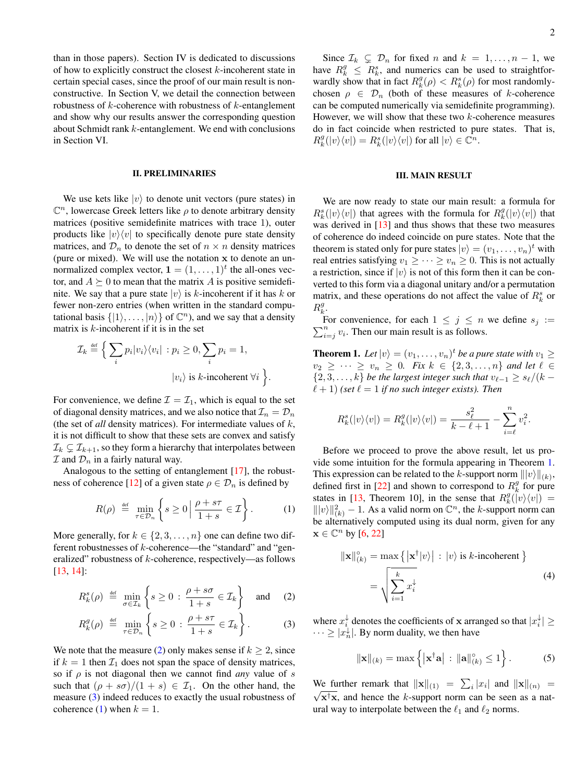than in those papers). Section IV is dedicated to discussions of how to explicitly construct the closest  $k$ -incoherent state in certain special cases, since the proof of our main result is nonconstructive. In Section V, we detail the connection between robustness of  $k$ -coherence with robustness of  $k$ -entanglement and show why our results answer the corresponding question about Schmidt rank k-entanglement. We end with conclusions in Section VI.

#### II. PRELIMINARIES

We use kets like  $|v\rangle$  to denote unit vectors (pure states) in  $\mathbb{C}^n$ , lowercase Greek letters like  $\rho$  to denote arbitrary density matrices (positive semidefinite matrices with trace 1), outer products like  $|v\rangle\langle v|$  to specifically denote pure state density matrices, and  $\mathcal{D}_n$  to denote the set of  $n \times n$  density matrices (pure or mixed). We will use the notation x to denote an unnormalized complex vector,  $\mathbf{1} = (1, \ldots, 1)^t$  the all-ones vector, and  $A \succeq 0$  to mean that the matrix A is positive semidefinite. We say that a pure state  $|v\rangle$  is k-incoherent if it has k or fewer non-zero entries (when written in the standard computational basis  $\{|1\rangle, \ldots, |n\rangle\}$  of  $\mathbb{C}^n$ ), and we say that a density matrix is  $k$ -incoherent if it is in the set

$$
\mathcal{I}_k \stackrel{\text{def}}{=} \Big\{ \sum_i p_i |v_i\rangle\langle v_i| : p_i \ge 0, \sum_i p_i = 1,
$$
  

$$
|v_i\rangle \text{ is } k\text{-incoherent } \forall i \Big\}.
$$

For convenience, we define  $\mathcal{I} = \mathcal{I}_1$ , which is equal to the set of diagonal density matrices, and we also notice that  $\mathcal{I}_n = \mathcal{D}_n$ (the set of *all* density matrices). For intermediate values of k, it is not difficult to show that these sets are convex and satisfy  $\mathcal{I}_k \subsetneq \mathcal{I}_{k+1}$ , so they form a hierarchy that interpolates between  $I$  and  $D_n$  in a fairly natural way.

Analogous to the setting of entanglement [\[17\]](#page-7-15), the robust-ness of coherence [\[12\]](#page-7-11) of a given state  $\rho \in \mathcal{D}_n$  is defined by

<span id="page-1-1"></span>
$$
R(\rho) \stackrel{\text{def}}{=} \min_{\tau \in \mathcal{D}_n} \left\{ s \ge 0 \, \middle| \, \frac{\rho + s\tau}{1 + s} \in \mathcal{I} \right\}. \tag{1}
$$

More generally, for  $k \in \{2, 3, \ldots, n\}$  one can define two different robustnesses of k-coherence—the "standard" and "generalized" robustness of k-coherence, respectively—as follows [\[13,](#page-7-12) [14\]](#page-7-13):

<span id="page-1-0"></span>
$$
R_k^s(\rho) \stackrel{\text{def}}{=} \min_{\sigma \in \mathcal{I}_k} \left\{ s \ge 0 \, : \, \frac{\rho + s\sigma}{1 + s} \in \mathcal{I}_k \right\} \quad \text{and} \quad (2)
$$

$$
R_k^g(\rho) \stackrel{\text{def}}{=} \min_{\tau \in \mathcal{D}_n} \left\{ s \ge 0 \, : \, \frac{\rho + s\tau}{1 + s} \in \mathcal{I}_k \right\}. \tag{3}
$$

We note that the measure [\(2\)](#page-1-0) only makes sense if  $k \geq 2$ , since if  $k = 1$  then  $\mathcal{I}_1$  does not span the space of density matrices, so if  $\rho$  is not diagonal then we cannot find *any* value of s such that  $(\rho + s\sigma)/(1 + s) \in \mathcal{I}_1$ . On the other hand, the measure [\(3\)](#page-1-0) indeed reduces to exactly the usual robustness of coherence [\(1\)](#page-1-1) when  $k = 1$ .

Since  $\mathcal{I}_k \subsetneq \mathcal{D}_n$  for fixed n and  $k = 1, \ldots, n - 1$ , we have  $R_k^g \leq R_k^s$ , and numerics can be used to straightforwardly show that in fact  $R_k^g(\rho) < R_k^s(\rho)$  for most randomlychosen  $\rho \in \mathcal{D}_n$  (both of these measures of k-coherence can be computed numerically via semidefinite programming). However, we will show that these two  $k$ -coherence measures do in fact coincide when restricted to pure states. That is,  $R_k^g(|v\rangle\langle v|) = R_k^s(|v\rangle\langle v|)$  for all  $|v\rangle \in \mathbb{C}^n$ .

## III. MAIN RESULT

We are now ready to state our main result: a formula for  $R_k^s(|v\rangle\langle v|)$  that agrees with the formula for  $R_k^g(|v\rangle\langle v|)$  that was derived in [\[13\]](#page-7-12) and thus shows that these two measures of coherence do indeed coincide on pure states. Note that the theorem is stated only for pure states  $|v\rangle = (v_1, \dots, v_n)^t$  with real entries satisfying  $v_1 \geq \cdots \geq v_n \geq 0$ . This is not actually a restriction, since if  $|v\rangle$  is not of this form then it can be converted to this form via a diagonal unitary and/or a permutation matrix, and these operations do not affect the value of  $R_k^s$  or  $R_k^g$ .

 $\sum_{i=j}^{n} v_i$ . Then our main result is as follows. For convenience, for each  $1 \leq j \leq n$  we define  $s_j :=$ 

<span id="page-1-2"></span>**Theorem 1.** Let  $|v\rangle = (v_1, \ldots, v_n)^t$  be a pure state with  $v_1 \geq$  $v_2 \geq \cdots \geq v_n \geq 0$ . Fix  $k \in \{2, 3, \ldots, n\}$  and let  $\ell \in$  $\{2, 3, \ldots, k\}$  *be the largest integer such that*  $v_{\ell-1} \geq s_{\ell}/(k - 1)$  $\ell + 1$ ) *(set*  $\ell = 1$  *if no such integer exists). Then* 

$$
R_k^s(|v\rangle\langle v|)=R_k^g(|v\rangle\langle v|)=\frac{s_\ell^2}{k-\ell+1}-\sum_{i=\ell}^nv_i^2.
$$

Before we proceed to prove the above result, let us provide some intuition for the formula appearing in Theorem [1.](#page-1-2) This expression can be related to the k-support norm  $||v\rangle||_{(k)}$ , defined first in [\[22\]](#page-7-20) and shown to correspond to  $R_k^g$  for pure states in [\[13,](#page-7-12) Theorem 10], in the sense that  $R_k^g(\wedge v)(v)$  =  $\|v\|\|_{(k)}^2 - 1$ . As a valid norm on  $\mathbb{C}^n$ , the k-support norm can be alternatively computed using its dual norm, given for any  $\mathbf{x} \in \mathbb{C}^n$  by  $[6, 22]$  $[6, 22]$  $[6, 22]$ 

$$
\|\mathbf{x}\|_{(k)}^{\circ} = \max \{ |\mathbf{x}^{\dagger}|v \rangle | : |v\rangle \text{ is } k\text{-incoherent } \}
$$

$$
= \sqrt{\sum_{i=1}^{k} x_i^{\downarrow}}
$$
(4)

where  $x_i^{\downarrow}$  denotes the coefficients of x arranged so that  $|x_i^{\downarrow}| \ge$  $\cdots \geq |x_n^{\downarrow}|$ . By norm duality, we then have

<span id="page-1-3"></span>
$$
\|\mathbf{x}\|_{(k)} = \max\left\{ |\mathbf{x}^\dagger \mathbf{a}| : \|\mathbf{a}\|_{(k)}^{\circ} \le 1 \right\}.
$$
 (5)

We further remark that  $\|\mathbf{x}\|_{(1)} = \sum_i |x_i|$  and  $\|\mathbf{x}\|_{(n)} = \sqrt{\sum_i |x_i|}$  $\sqrt{x}$ <sup>†</sup>x, and hence the k-support norm can be seen as a natural way to interpolate between the  $\ell_1$  and  $\ell_2$  norms.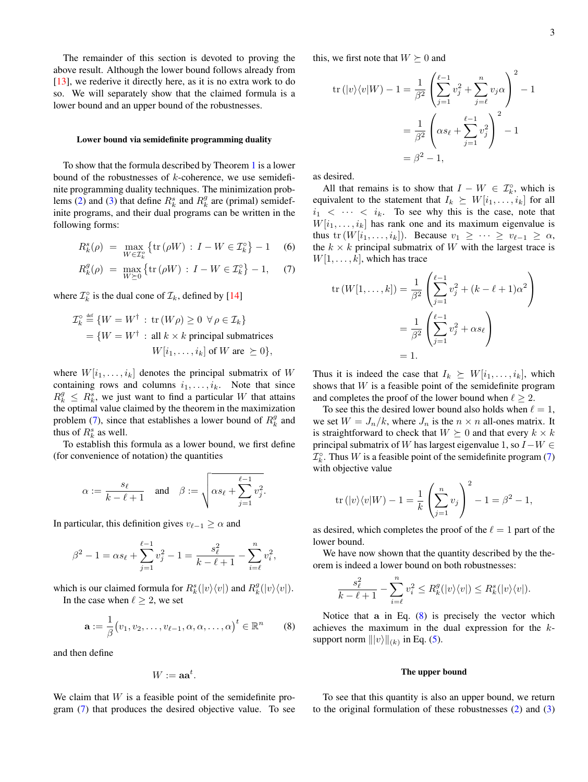The remainder of this section is devoted to proving the above result. Although the lower bound follows already from [\[13\]](#page-7-12), we rederive it directly here, as it is no extra work to do so. We will separately show that the claimed formula is a lower bound and an upper bound of the robustnesses.

#### Lower bound via semidefinite programming duality

To show that the formula described by Theorem [1](#page-1-2) is a lower bound of the robustnesses of  $k$ -coherence, we use semidefinite programming duality techniques. The minimization prob-lems [\(2\)](#page-1-0) and [\(3\)](#page-1-0) that define  $R_k^s$  and  $R_k^g$  are (primal) semidefinite programs, and their dual programs can be written in the following forms:

<span id="page-2-0"></span>
$$
R_k^s(\rho) \ = \ \max_{W \in \mathcal{I}_k^o} \left\{ \text{tr}\left(\rho W\right) \, : \, I - W \in \mathcal{I}_k^o \right\} - 1 \quad \text{(6)}
$$

$$
R_k^g(\rho) = \max_{W \succeq 0} \left\{ \text{tr}(\rho W) : I - W \in \mathcal{I}_k^{\circ} \right\} - 1,\quad (7)
$$

where  $\mathcal{I}_k^{\circ}$  is the dual cone of  $\mathcal{I}_k$ , defined by [\[14\]](#page-7-13)

$$
\mathcal{I}_k^{\circ} \stackrel{\text{def}}{=} \{ W = W^{\dagger} : \text{tr}(W\rho) \ge 0 \ \forall \rho \in \mathcal{I}_k \}
$$
  
= 
$$
\{ W = W^{\dagger} : \text{all } k \times k \text{ principal submatrices } W[i_1, \dots, i_k] \text{ of } W \text{ are } \succeq 0 \},
$$

where  $W[i_1, \ldots, i_k]$  denotes the principal submatrix of W containing rows and columns  $i_1, \ldots, i_k$ . Note that since  $R_k^g \leq R_k^s$ , we just want to find a particular W that attains the optimal value claimed by the theorem in the maximization problem [\(7\)](#page-2-0), since that establishes a lower bound of  $R_k^g$  and thus of  $R_k^s$  as well.

To establish this formula as a lower bound, we first define (for convenience of notation) the quantities

$$
\alpha := \frac{s_{\ell}}{k - \ell + 1} \quad \text{and} \quad \beta := \sqrt{\alpha s_{\ell} + \sum_{j=1}^{\ell-1} v_j^2}.
$$

In particular, this definition gives  $v_{\ell-1} \geq \alpha$  and

$$
\beta^{2} - 1 = \alpha s_{\ell} + \sum_{j=1}^{\ell-1} v_{j}^{2} - 1 = \frac{s_{\ell}^{2}}{k - \ell + 1} - \sum_{i=\ell}^{n} v_{i}^{2},
$$

which is our claimed formula for  $R_k^s(|v\rangle\langle v|)$  and  $R_k^g(|v\rangle\langle v|)$ . In the case when  $\ell \geq 2$ , we set

$$
\mathbf{a} := \frac{1}{\beta} (v_1, v_2, \dots, v_{\ell-1}, \alpha, \alpha, \dots, \alpha)^t \in \mathbb{R}^n \qquad (8)
$$

and then define

<span id="page-2-1"></span>
$$
W:=\mathbf{aa}^t.
$$

We claim that  $W$  is a feasible point of the semidefinite program [\(7\)](#page-2-0) that produces the desired objective value. To see this, we first note that  $W \succeq 0$  and

$$
\operatorname{tr}(|v\rangle\langle v|W) - 1 = \frac{1}{\beta^2} \left( \sum_{j=1}^{\ell-1} v_j^2 + \sum_{j=\ell}^n v_j \alpha \right)^2 - 1
$$

$$
= \frac{1}{\beta^2} \left( \alpha s_\ell + \sum_{j=1}^{\ell-1} v_j^2 \right)^2 - 1
$$

$$
= \beta^2 - 1,
$$

as desired.

All that remains is to show that  $I - W \in \mathcal{I}_k^{\circ}$ , which is equivalent to the statement that  $I_k \succeq W[i_1, \ldots, i_k]$  for all  $i_1$  <  $\cdots$  <  $i_k$ . To see why this is the case, note that  $W[i_1, \ldots, i_k]$  has rank one and its maximum eigenvalue is thus tr  $(W[i_1, \ldots, i_k])$ . Because  $v_1 \geq \cdots \geq v_{\ell-1} \geq \alpha$ , the  $k \times k$  principal submatrix of W with the largest trace is  $W[1, \ldots, k]$ , which has trace

$$
\text{tr}(W[1,\ldots,k]) = \frac{1}{\beta^2} \left( \sum_{j=1}^{\ell-1} v_j^2 + (k - \ell + 1)\alpha^2 \right)
$$

$$
= \frac{1}{\beta^2} \left( \sum_{j=1}^{\ell-1} v_j^2 + \alpha s_\ell \right)
$$

$$
= 1.
$$

Thus it is indeed the case that  $I_k \succeq W[i_1, \ldots, i_k]$ , which shows that  $W$  is a feasible point of the semidefinite program and completes the proof of the lower bound when  $\ell > 2$ .

To see this the desired lower bound also holds when  $\ell = 1$ , we set  $W = J_n/k$ , where  $J_n$  is the  $n \times n$  all-ones matrix. It is straightforward to check that  $W \succeq 0$  and that every  $k \times k$ principal submatrix of W has largest eigenvalue 1, so  $I-W \in$  $\mathcal{I}_k^{\circ}$ . Thus W is a feasible point of the semidefinite program [\(7\)](#page-2-0) with objective value

$$
\operatorname{tr}(|v\rangle\langle v|W) - 1 = \frac{1}{k} \left(\sum_{j=1}^{n} v_j\right)^2 - 1 = \beta^2 - 1,
$$

as desired, which completes the proof of the  $\ell = 1$  part of the lower bound.

We have now shown that the quantity described by the theorem is indeed a lower bound on both robustnesses:

$$
\frac{s_{\ell}^2}{k-\ell+1} - \sum_{i=\ell}^n v_i^2 \le R_k^g(|v\rangle\langle v|) \le R_k^s(|v\rangle\langle v|).
$$

Notice that a in Eq.  $(8)$  is precisely the vector which achieves the maximum in the dual expression for the ksupport norm  $|||v\rangle||_{(k)}$  in Eq. [\(5\)](#page-1-3).

#### The upper bound

To see that this quantity is also an upper bound, we return to the original formulation of these robustnesses [\(2\)](#page-1-0) and [\(3\)](#page-1-0)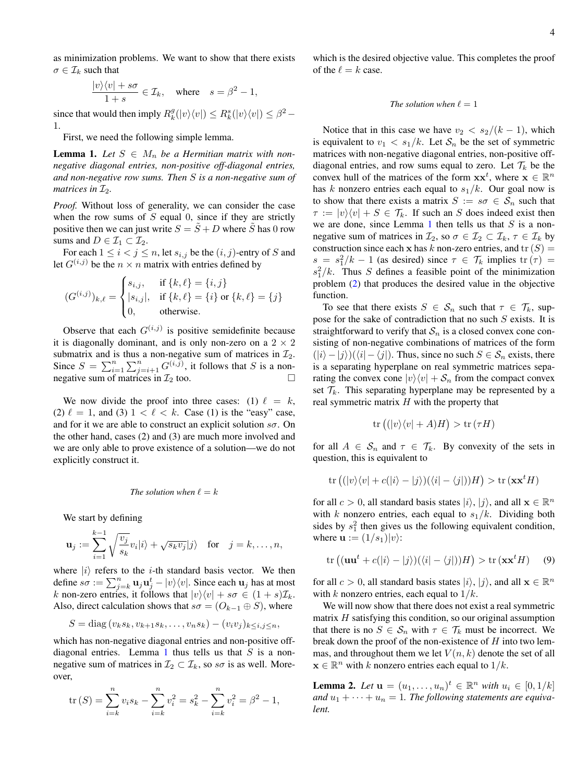as minimization problems. We want to show that there exists  $\sigma \in \mathcal{I}_k$  such that

$$
\frac{|v\rangle\langle v| + s\sigma}{1+s} \in \mathcal{I}_k, \quad \text{where} \quad s = \beta^2 - 1,
$$

since that would then imply  $R_k^g(|v\rangle\langle v|) \leq R_k^s(|v\rangle\langle v|) \leq \beta^2$  – 1.

First, we need the following simple lemma.

<span id="page-3-0"></span>**Lemma 1.** Let  $S \in M_n$  be a Hermitian matrix with non*negative diagonal entries, non-positive off-diagonal entries, and non-negative row sums. Then* S *is a non-negative sum of matrices in*  $\mathcal{I}_2$ *.* 

*Proof.* Without loss of generality, we can consider the case when the row sums of  $S$  equal 0, since if they are strictly positive then we can just write  $S = \tilde{S} + D$  where  $\tilde{S}$  has 0 row sums and  $D \in \mathcal{I}_1 \subset \mathcal{I}_2$ .

For each  $1 \leq i < j \leq n$ , let  $s_{i,j}$  be the  $(i, j)$ -entry of S and let  $G^{(i,j)}$  be the  $n \times n$  matrix with entries defined by

$$
(G^{(i,j)})_{k,\ell} = \begin{cases} s_{i,j}, & \text{if } \{k,\ell\} = \{i,j\} \\ |s_{i,j}|, & \text{if } \{k,\ell\} = \{i\} \text{ or } \{k,\ell\} = \{j\} \\ 0, & \text{otherwise.} \end{cases}
$$

Observe that each  $G^{(i,j)}$  is positive semidefinite because it is diagonally dominant, and is only non-zero on a  $2 \times 2$ submatrix and is thus a non-negative sum of matrices in  $\mathcal{I}_2$ . Since  $S = \sum_{i=1}^n \sum_{j=i+1}^n G^{(i,j)}$ , it follows that S is a nonnegative sum of matrices in  $\mathcal{I}_2$  too.

We now divide the proof into three cases: (1)  $\ell = k$ , (2)  $\ell = 1$ , and (3)  $1 < \ell < k$ . Case (1) is the "easy" case, and for it we are able to construct an explicit solution  $s\sigma$ . On the other hand, cases (2) and (3) are much more involved and we are only able to prove existence of a solution—we do not explicitly construct it.

The solution when 
$$
\ell = k
$$

We start by defining

$$
\mathbf{u}_j := \sum_{i=1}^{k-1} \sqrt{\frac{v_j}{s_k}} v_i |i\rangle + \sqrt{s_k v_j} |j\rangle \quad \text{for} \quad j = k, \dots, n,
$$

where  $|i\rangle$  refers to the *i*-th standard basis vector. We then define  $s\sigma := \sum_{j=k}^n \mathbf{u}_j \mathbf{u}_j^t - |v\rangle\langle v|$ . Since each  $\mathbf{u}_j$  has at most k non-zero entries, it follows that  $|v\rangle\langle v| + s\sigma \in (1 + s)\mathcal{I}_k$ . Also, direct calculation shows that  $s\sigma = (O_{k-1} \oplus S)$ , where

$$
S = diag(v_k s_k, v_{k+1} s_k, \dots, v_n s_k) - (v_i v_j)_{k \leq i, j \leq n},
$$

which has non-negative diagonal entries and non-positive off-diagonal entries. Lemma [1](#page-3-0) thus tells us that  $S$  is a nonnegative sum of matrices in  $\mathcal{I}_2 \subset \mathcal{I}_k$ , so  $s\sigma$  is as well. Moreover,

$$
\text{tr}(S) = \sum_{i=k}^{n} v_i s_k - \sum_{i=k}^{n} v_i^2 = s_k^2 - \sum_{i=k}^{n} v_i^2 = \beta^2 - 1,
$$

which is the desired objective value. This completes the proof of the  $\ell = k$  case.

### *The solution when*  $\ell = 1$

Notice that in this case we have  $v_2 < s_2/(k-1)$ , which is equivalent to  $v_1 < s_1/k$ . Let  $S_n$  be the set of symmetric matrices with non-negative diagonal entries, non-positive offdiagonal entries, and row sums equal to zero. Let  $\mathcal{T}_k$  be the convex hull of the matrices of the form  $xx^t$ , where  $x \in \mathbb{R}^n$ has k nonzero entries each equal to  $s_1/k$ . Our goal now is to show that there exists a matrix  $S := s\sigma \in S_n$  such that  $\tau := |v\rangle\langle v| + S \in \mathcal{T}_k$ . If such an S does indeed exist then we are done, since Lemma [1](#page-3-0) then tells us that  $S$  is a nonnegative sum of matrices in  $\mathcal{I}_2$ , so  $\sigma \in \mathcal{I}_2 \subset \mathcal{I}_k$ ,  $\tau \in \mathcal{I}_k$  by construction since each x has k non-zero entries, and  $\text{tr}(S)$  =  $s = s_1^2/k - 1$  (as desired) since  $\tau \in \mathcal{T}_k$  implies  $\text{tr}(\tau) =$  $s_1^2/k$ . Thus S defines a feasible point of the minimization problem [\(2\)](#page-1-0) that produces the desired value in the objective function.

To see that there exists  $S \in S_n$  such that  $\tau \in \mathcal{T}_k$ , suppose for the sake of contradiction that no such  $S$  exists. It is straightforward to verify that  $S_n$  is a closed convex cone consisting of non-negative combinations of matrices of the form  $(|i\rangle - |j\rangle)(\langle i| - \langle j|)$ . Thus, since no such  $S \in S_n$  exists, there is a separating hyperplane on real symmetric matrices separating the convex cone  $|v\rangle\langle v| + S_n$  from the compact convex set  $\mathcal{T}_k$ . This separating hyperplane may be represented by a real symmetric matrix  $H$  with the property that

<span id="page-3-2"></span>
$$
\operatorname{tr}\left((|v\rangle\langle v| + A)H\right) > \operatorname{tr}\left(\tau H\right)
$$

for all  $A \in S_n$  and  $\tau \in \mathcal{T}_k$ . By convexity of the sets in question, this is equivalent to

$$
\text{tr}\left((|v\rangle\langle v| + c(|i\rangle - |j\rangle)(\langle i| - \langle j|))H\right) > \text{tr}\left(\mathbf{x}\mathbf{x}^t H\right)
$$

for all  $c > 0$ , all standard basis states  $|i\rangle$ ,  $|j\rangle$ , and all  $\mathbf{x} \in \mathbb{R}^n$ with k nonzero entries, each equal to  $s_1/k$ . Dividing both sides by  $s_1^2$  then gives us the following equivalent condition, where  $\mathbf{u} := (1/s_1)|v\rangle$ :

$$
\operatorname{tr}\left((\mathbf{u}\mathbf{u}^t + c(|i\rangle - |j\rangle)(\langle i| - \langle j|))H\right) > \operatorname{tr}(\mathbf{x}\mathbf{x}^t H) \tag{9}
$$

for all  $c > 0$ , all standard basis states  $|i\rangle$ ,  $|j\rangle$ , and all  $\mathbf{x} \in \mathbb{R}^n$ with k nonzero entries, each equal to  $1/k$ .

We will now show that there does not exist a real symmetric matrix  $H$  satisfying this condition, so our original assumption that there is no  $S \in \mathcal{S}_n$  with  $\tau \in \mathcal{T}_k$  must be incorrect. We break down the proof of the non-existence of  $H$  into two lemmas, and throughout them we let  $V(n, k)$  denote the set of all  $\mathbf{x} \in \mathbb{R}^n$  with k nonzero entries each equal to  $1/k$ .

<span id="page-3-1"></span>**Lemma 2.** Let  $u = (u_1, ..., u_n)^t \in \mathbb{R}^n$  with  $u_i \in [0, 1/k]$ and  $u_1 + \cdots + u_n = 1$ . The following statements are equiva*lent.*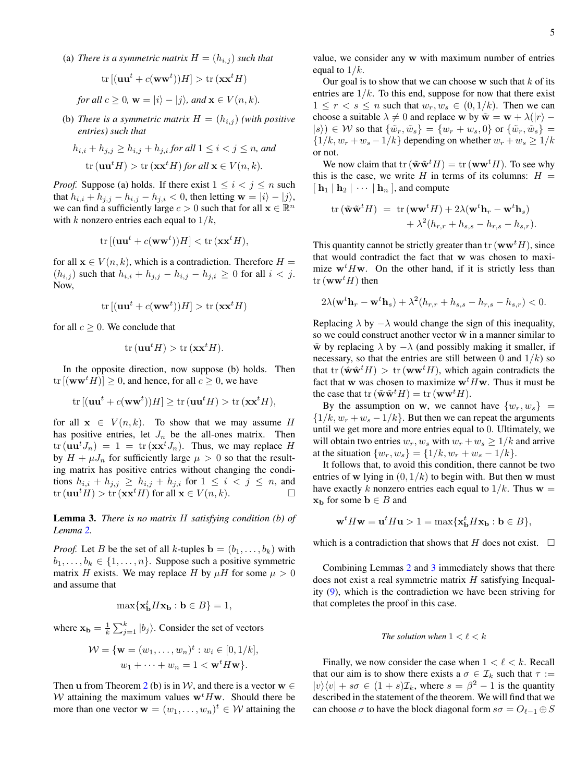(a) *There is a symmetric matrix*  $H = (h_{i,j})$  *such that* 

$$
\text{tr}\left[ (\mathbf{u}\mathbf{u}^t + c(\mathbf{w}\mathbf{w}^t))H \right] > \text{tr}\left( \mathbf{x}\mathbf{x}^t H \right)
$$

*for all*  $c \geq 0$ ,  $\mathbf{w} = |i\rangle - |j\rangle$ , and  $\mathbf{x} \in V(n, k)$ .

(b) *There is a symmetric matrix*  $H = (h_{i,j})$  *(with positive entries) such that*

$$
h_{i,i} + h_{j,j} \ge h_{i,j} + h_{j,i} \text{ for all } 1 \le i < j \le n, \text{ and}
$$
\n
$$
\text{tr}(\mathbf{u}\mathbf{u}^t H) > \text{tr}(\mathbf{x}\mathbf{x}^t H) \text{ for all } \mathbf{x} \in V(n,k).
$$

*Proof.* Suppose (a) holds. If there exist  $1 \leq i < j \leq n$  such that  $h_{i,i} + h_{j,j} - h_{i,j} - h_{j,i} < 0$ , then letting  $\mathbf{w} = |i\rangle - |j\rangle$ , we can find a sufficiently large  $c > 0$  such that for all  $\mathbf{x} \in \mathbb{R}^n$ with k nonzero entries each equal to  $1/k$ ,

$$
\text{tr}\left[ (\mathbf{u}\mathbf{u}^t + c(\mathbf{w}\mathbf{w}^t))H \right] < \text{tr}\left( \mathbf{x}\mathbf{x}^t H \right),
$$

for all  $\mathbf{x} \in V(n, k)$ , which is a contradiction. Therefore  $H =$  $(h_{i,j})$  such that  $h_{i,i} + h_{j,j} - h_{i,j} - h_{j,i} \geq 0$  for all  $i < j$ . Now,

$$
\text{tr}\left[ (\mathbf{u}\mathbf{u}^t + c(\mathbf{w}\mathbf{w}^t))H \right] > \text{tr}\left( \mathbf{x}\mathbf{x}^t H \right)
$$

for all  $c \geq 0$ . We conclude that

$$
\operatorname{tr}(\mathbf{u}\mathbf{u}^t H) > \operatorname{tr}(\mathbf{x}\mathbf{x}^t H).
$$

In the opposite direction, now suppose (b) holds. Then  $tr [(ww<sup>t</sup>H)] \geq 0$ , and hence, for all  $c \geq 0$ , we have

$$
\text{tr}\left[ (\mathbf{u}\mathbf{u}^t + c(\mathbf{w}\mathbf{w}^t))H \right] \ge \text{tr}\left( \mathbf{u}\mathbf{u}^t H \right) > \text{tr}\left( \mathbf{x}\mathbf{x}^t H \right),
$$

for all  $x \in V(n, k)$ . To show that we may assume H has positive entries, let  $J_n$  be the all-ones matrix. Then  $\text{tr}(\mathbf{u}\mathbf{u}^t J_n) = 1 = \text{tr}(\mathbf{x}\mathbf{x}^t J_n)$ . Thus, we may replace H by  $H + \mu J_n$  for sufficiently large  $\mu > 0$  so that the resulting matrix has positive entries without changing the conditions  $h_{i,i} + h_{j,j} \geq h_{i,j} + h_{j,i}$  for  $1 \leq i < j \leq n$ , and  $tr(\mathbf{u}\mathbf{u}^t H) > tr(\mathbf{x}\mathbf{x}^t H)$  for all  $\mathbf{x} \in V(n,k)$ .

<span id="page-4-0"></span>Lemma 3. *There is no matrix* H *satisfying condition (b) of Lemma [2.](#page-3-1)*

*Proof.* Let B be the set of all k-tuples  $\mathbf{b} = (b_1, \ldots, b_k)$  with  $b_1, \ldots, b_k \in \{1, \ldots, n\}$ . Suppose such a positive symmetric matrix H exists. We may replace H by  $\mu$ H for some  $\mu > 0$ and assume that

$$
\max\{\mathbf{x_b}^t H \mathbf{x_b} : \mathbf{b} \in B\} = 1,
$$

where  $\mathbf{x_b} = \frac{1}{k} \sum_{j=1}^{k} |b_j\rangle$ . Consider the set of vectors

$$
\mathcal{W} = \{ \mathbf{w} = (w_1, \dots, w_n)^t : w_i \in [0, 1/k], w_1 + \dots + w_n = 1 < \mathbf{w}^t H \mathbf{w} \}.
$$

Then **u** from Theorem [2](#page-3-1) (b) is in W, and there is a vector  $\mathbf{w} \in \mathbb{R}$ W attaining the maximum values  $w<sup>t</sup>Hw$ . Should there be more than one vector  $\mathbf{w} = (w_1, \dots, w_n)^t \in \mathcal{W}$  attaining the

value, we consider any w with maximum number of entries equal to  $1/k$ .

Our goal is to show that we can choose  $w$  such that  $k$  of its entries are  $1/k$ . To this end, suppose for now that there exist  $1 \leq r < s \leq n$  such that  $w_r, w_s \in (0, 1/k)$ . Then we can choose a suitable  $\lambda \neq 0$  and replace w by  $\tilde{\mathbf{w}} = \mathbf{w} + \lambda(|r| - \lambda)$  $|s\rangle \in W$  so that  $\{\tilde{w}_r, \tilde{w}_s\} = \{w_r + w_s, 0\}$  or  $\{\tilde{w}_r, \tilde{w}_s\} =$  $\{1/k, w_r + w_s - 1/k\}$  depending on whether  $w_r + w_s \ge 1/k$ or not.

We now claim that  $\text{tr}(\tilde{\mathbf{w}} \tilde{\mathbf{w}}^t H) = \text{tr}(\mathbf{w} \mathbf{w}^t H)$ . To see why this is the case, we write H in terms of its columns:  $H =$  $[\mathbf{h}_1 | \mathbf{h}_2 | \cdots | \mathbf{h}_n]$ , and compute

$$
\text{tr}\left(\tilde{\mathbf{w}}\tilde{\mathbf{w}}^t H\right) = \text{tr}\left(\mathbf{w}\mathbf{w}^t H\right) + 2\lambda(\mathbf{w}^t \mathbf{h}_r - \mathbf{w}^t \mathbf{h}_s) + \lambda^2(h_{r,r} + h_{s,s} - h_{r,s} - h_{s,r}).
$$

This quantity cannot be strictly greater than  $\text{tr}(\mathbf{w}\mathbf{w}^t H)$ , since that would contradict the fact that w was chosen to maximize  $w<sup>t</sup>Hw$ . On the other hand, if it is strictly less than  $tr(**ww**<sup>t</sup>H)$  then

$$
2\lambda(\mathbf{w}^t \mathbf{h}_r - \mathbf{w}^t \mathbf{h}_s) + \lambda^2 (h_{r,r} + h_{s,s} - h_{r,s} - h_{s,r}) < 0.
$$

Replacing  $\lambda$  by  $-\lambda$  would change the sign of this inequality, so we could construct another vector  $\hat{w}$  in a manner similar to  $\tilde{\mathbf{w}}$  by replacing  $\lambda$  by  $-\lambda$  (and possibly making it smaller, if necessary, so that the entries are still between 0 and  $1/k$ ) so that  $\text{tr}(\hat{\mathbf{w}}\hat{\mathbf{w}}^t H) > \text{tr}(\mathbf{w}\mathbf{w}^t H)$ , which again contradicts the fact that w was chosen to maximize  $w<sup>t</sup>Hw$ . Thus it must be the case that  $\text{tr}(\tilde{\mathbf{w}}\tilde{\mathbf{w}}^t H) = \text{tr}(\mathbf{w}\mathbf{w}^t H).$ 

By the assumption on w, we cannot have  $\{w_r, w_s\}$  =  $\{1/k, w_r + w_s - 1/k\}$ . But then we can repeat the arguments until we get more and more entries equal to 0. Ultimately, we will obtain two entries  $w_r, w_s$  with  $w_r + w_s \geq 1/k$  and arrive at the situation  $\{w_r, w_s\} = \{1/k, w_r + w_s - 1/k\}.$ 

It follows that, to avoid this condition, there cannot be two entries of w lying in  $(0, 1/k)$  to begin with. But then w must have exactly k nonzero entries each equal to  $1/k$ . Thus  $w =$  $x<sub>b</sub>$  for some  $b \in B$  and

$$
\mathbf{w}^t H \mathbf{w} = \mathbf{u}^t H \mathbf{u} > 1 = \max\{\mathbf{x}_{\mathbf{b}}^t H \mathbf{x}_{\mathbf{b}} : \mathbf{b} \in B\},\
$$

which is a contradiction that shows that H does not exist.  $\square$ 

Combining Lemmas [2](#page-3-1) and [3](#page-4-0) immediately shows that there does not exist a real symmetric matrix  $H$  satisfying Inequality [\(9\)](#page-3-2), which is the contradiction we have been striving for that completes the proof in this case.

### *The solution when*  $1 < \ell < k$

Finally, we now consider the case when  $1 < \ell < k$ . Recall that our aim is to show there exists a  $\sigma \in \mathcal{I}_k$  such that  $\tau :=$  $|v\rangle\langle v| + s\sigma \in (1 + s)\mathcal{I}_k$ , where  $s = \beta^2 - 1$  is the quantity described in the statement of the theorem. We will find that we can choose  $\sigma$  to have the block diagonal form  $s\sigma = O_{\ell-1} \oplus S$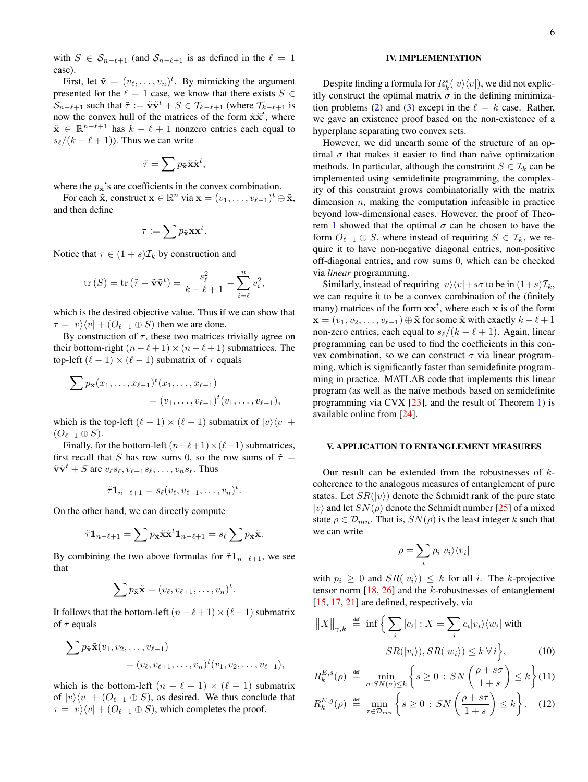with  $S \in S_{n-\ell+1}$  (and  $S_{n-\ell+1}$  is as defined in the  $\ell = 1$ case).

First, let  $\tilde{\mathbf{v}} = (v_{\ell}, \dots, v_{n})^{t}$ . By mimicking the argument presented for the  $\ell = 1$  case, we know that there exists  $S \in$  $\mathcal{S}_{n-\ell+1}$  such that  $\tilde{\tau} := \tilde{\mathbf{v}} \tilde{\mathbf{v}}^t + S \in \mathcal{T}_{k-\ell+1}$  (where  $\mathcal{T}_{k-\ell+1}$  is now the convex hull of the matrices of the form  $\tilde{\mathbf{x}}\tilde{\mathbf{x}}^t$ , where  $\tilde{\mathbf{x}} \in \mathbb{R}^{n-\ell+1}$  has  $k-\ell+1$  nonzero entries each equal to  $s_{\ell}/(k - \ell + 1)$ ). Thus we can write

$$
\tilde{\tau} = \sum p_{\tilde{\mathbf{x}}} \tilde{\mathbf{x}} \tilde{\mathbf{x}}^t,
$$

where the  $p_{\tilde{x}}$ 's are coefficients in the convex combination.

For each  $\tilde{\mathbf{x}}$ , construct  $\mathbf{x} \in \mathbb{R}^n$  via  $\mathbf{x} = (v_1, \dots, v_{\ell-1})^t \oplus \tilde{\mathbf{x}}$ , and then define

$$
\tau := \sum p_{\tilde{\mathbf{x}}} \mathbf{x} \mathbf{x}^t.
$$

Notice that  $\tau \in (1+s)\mathcal{I}_k$  by construction and

$$
\operatorname{tr}\left(S\right) = \operatorname{tr}\left(\tilde{\tau} - \tilde{\mathbf{v}}\tilde{\mathbf{v}}^t\right) = \frac{s_\ell^2}{k - \ell + 1} - \sum_{i=\ell}^n v_i^2,
$$

which is the desired objective value. Thus if we can show that  $\tau = |v\rangle\langle v| + (O_{\ell-1} \oplus S)$  then we are done.

By construction of  $\tau$ , these two matrices trivially agree on their bottom-right  $(n - \ell + 1) \times (n - \ell + 1)$  submatrices. The top-left  $(\ell - 1) \times (\ell - 1)$  submatrix of  $\tau$  equals

$$
\sum p_{\tilde{\mathbf{x}}}(x_1,\ldots,x_{\ell-1})^t(x_1,\ldots,x_{\ell-1})
$$
  
=  $(v_1,\ldots,v_{\ell-1})^t(v_1,\ldots,v_{\ell-1}),$ 

which is the top-left  $(\ell - 1) \times (\ell - 1)$  submatrix of  $|v\rangle\langle v| +$  $(O_{\ell-1} \oplus S).$ 

Finally, for the bottom-left  $(n-\ell+1)\times(\ell-1)$  submatrices, first recall that S has row sums 0, so the row sums of  $\tilde{\tau}$  =  $\tilde{\mathbf{v}} \tilde{\mathbf{v}}^t + S$  are  $v_{\ell} s_{\ell}, v_{\ell+1} s_{\ell}, \ldots, v_n s_{\ell}$ . Thus

$$
\tilde{\tau} \mathbf{1}_{n-\ell+1} = s_{\ell}(v_{\ell}, v_{\ell+1}, \ldots, v_n)^t.
$$

On the other hand, we can directly compute

$$
\tilde{\tau} \mathbf{1}_{n-\ell+1} = \sum p_{\tilde{\mathbf{x}}} \tilde{\mathbf{x}}^{\tilde{\mathbf{x}}} \mathbf{1}_{n-\ell+1} = s_{\ell} \sum p_{\tilde{\mathbf{x}}} \tilde{\mathbf{x}}.
$$

By combining the two above formulas for  $\tilde{\tau} \mathbf{1}_{n-\ell+1}$ , we see that

$$
\sum p_{\tilde{\mathbf{x}}} \tilde{\mathbf{x}} = (v_{\ell}, v_{\ell+1}, \dots, v_n)^t.
$$

It follows that the bottom-left  $(n - \ell + 1) \times (\ell - 1)$  submatrix of  $\tau$  equals

$$
\sum p_{\tilde{\mathbf{x}}} \tilde{\mathbf{x}}(v_1, v_2, \dots, v_{\ell-1}) = (v_{\ell}, v_{\ell+1}, \dots, v_n)^t (v_1, v_2, \dots, v_{\ell-1}),
$$

which is the bottom-left  $(n - \ell + 1) \times (\ell - 1)$  submatrix of  $|v\rangle\langle v| + (O_{\ell-1} \oplus S)$ , as desired. We thus conclude that  $\tau = |v\rangle\langle v| + (O_{\ell-1} \oplus S)$ , which completes the proof.

## IV. IMPLEMENTATION

Despite finding a formula for  $R_k^s(|v\rangle\langle v|)$ , we did not explicitly construct the optimal matrix  $\sigma$  in the defining minimiza-tion problems [\(2\)](#page-1-0) and [\(3\)](#page-1-0) except in the  $\ell = k$  case. Rather, we gave an existence proof based on the non-existence of a hyperplane separating two convex sets.

However, we did unearth some of the structure of an optimal  $\sigma$  that makes it easier to find than naïve optimization methods. In particular, although the constraint  $S \in \mathcal{I}_k$  can be implemented using semidefinite programming, the complexity of this constraint grows combinatorially with the matrix dimension  $n$ , making the computation infeasible in practice beyond low-dimensional cases. However, the proof of Theo-rem [1](#page-1-2) showed that the optimal  $\sigma$  can be chosen to have the form  $O_{\ell-1} \oplus S$ , where instead of requiring  $S \in \mathcal{I}_k$ , we require it to have non-negative diagonal entries, non-positive off-diagonal entries, and row sums 0, which can be checked via *linear* programming.

Similarly, instead of requiring  $|v\rangle\langle v|+s\sigma$  to be in  $(1+s)\mathcal{I}_k$ , we can require it to be a convex combination of the (finitely many) matrices of the form  $xx^{t}$ , where each x is of the form  $\mathbf{x} = (v_1, v_2, \dots, v_{\ell-1}) \oplus \tilde{\mathbf{x}}$  for some  $\tilde{\mathbf{x}}$  with exactly  $k - \ell + 1$ non-zero entries, each equal to  $s_{\ell}/(k - \ell + 1)$ . Again, linear programming can be used to find the coefficients in this convex combination, so we can construct  $\sigma$  via linear programming, which is significantly faster than semidefinite programming in practice. MATLAB code that implements this linear program (as well as the naïve methods based on semidefinite programming via CVX [\[23\]](#page-7-21), and the result of Theorem [1\)](#page-1-2) is available online from [\[24\]](#page-7-22).

# V. APPLICATION TO ENTANGLEMENT MEASURES

Our result can be extended from the robustnesses of  $k$ coherence to the analogous measures of entanglement of pure states. Let  $SR(|v\rangle)$  denote the Schmidt rank of the pure state  $|v\rangle$  and let  $SN(\rho)$  denote the Schmidt number [\[25\]](#page-7-23) of a mixed state  $\rho \in \mathcal{D}_{mn}$ . That is,  $SN(\rho)$  is the least integer k such that we can write

$$
\rho = \sum_i p_i |v_i\rangle\langle v_i|
$$

with  $p_i \geq 0$  and  $SR(|v_i\rangle) \leq k$  for all i. The k-projective tensor norm  $[18, 26]$  $[18, 26]$  $[18, 26]$  and the k-robustnesses of entanglement [\[15,](#page-7-14) [17,](#page-7-15) [21\]](#page-7-17) are defined, respectively, via

$$
||X||_{\gamma,k} \stackrel{\text{def}}{=} \inf \left\{ \sum_{i} |c_i| : X = \sum_{i} c_i |v_i\rangle \langle w_i| \text{ with } S R(|v_i\rangle), SR(|w_i\rangle) \le k \,\forall \,i \right\},\tag{10}
$$

$$
R_k^{E,s}(\rho) \stackrel{\text{def}}{=} \min_{\sigma: SN(\sigma) \le k} \left\{ s \ge 0 : SN\left(\frac{\rho + s\sigma}{1 + s}\right) \le k \right\} (11)
$$

$$
R_k^{E,g}(\rho) \stackrel{\text{def}}{=} \min_{\tau \in \mathcal{D}_{mn}} \left\{ s \ge 0 : SN\left(\frac{\rho + s\tau}{1 + s}\right) \le k \right\} .
$$
 (12)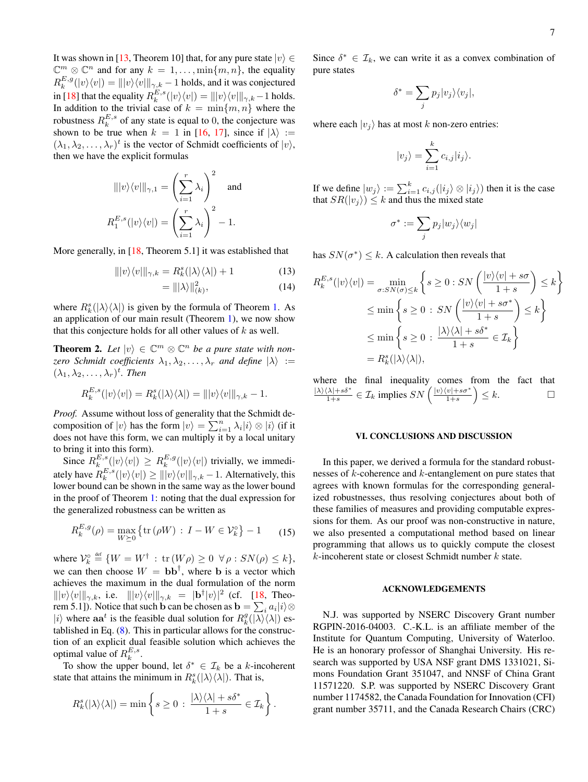It was shown in [\[13,](#page-7-12) Theorem 10] that, for any pure state  $|v\rangle \in$  $\mathbb{C}^m \otimes \mathbb{C}^n$  and for any  $k = 1, \ldots, \min\{m, n\}$ , the equality  $R_k^{E,g}(|v\rangle\langle v|)=\||v\rangle\langle v|\|_{\gamma,k}-1$  holds, and it was conjectured in [\[18\]](#page-7-16) that the equality  $R_k^{E,s}(|v\rangle\langle v|) = |||v\rangle\langle v|||_{\gamma,k} - 1$  holds. In addition to the trivial case of  $k = \min\{m, n\}$  where the robustness  $R_k^{E,s}$  of any state is equal to 0, the conjecture was shown to be true when  $k = 1$  in [\[16,](#page-7-25) [17\]](#page-7-15), since if  $|\lambda\rangle :=$  $(\lambda_1, \lambda_2, \dots, \lambda_r)^t$  is the vector of Schmidt coefficients of  $|v\rangle$ , then we have the explicit formulas

$$
\| |v\rangle\langle v| \|_{\gamma,1} = \left(\sum_{i=1}^r \lambda_i\right)^2 \text{ and }
$$

$$
R_1^{E,s}(|v\rangle\langle v|) = \left(\sum_{i=1}^r \lambda_i\right)^2 - 1.
$$

More generally, in [18]. Theorem 5.1] it was established that

$$
\| |v\rangle\langle v| \|_{\gamma,k} = R_k^s(|\lambda\rangle\langle\lambda|) + 1 \tag{13}
$$

$$
= \|\lambda\|_{(k)}^2,\tag{14}
$$

where  $R_k^s(|\lambda\rangle\langle\lambda|)$  is given by the formula of Theorem [1.](#page-1-2) As an application of our main result (Theorem [1\)](#page-1-2), we now show that this conjecture holds for all other values of  $k$  as well.

**Theorem 2.** Let  $|v\rangle \in \mathbb{C}^m \otimes \mathbb{C}^n$  be a pure state with non*zero Schmidt coefficients*  $\lambda_1, \lambda_2, \ldots, \lambda_r$  *and define*  $|\lambda\rangle :=$  $(\lambda_1, \lambda_2, \ldots, \lambda_r)^t$ *. Then* 

$$
R_k^{E,s}(|v\rangle\langle v|) = R_k^s(|\lambda\rangle\langle\lambda|) = |||v\rangle\langle v|||_{\gamma,k} - 1.
$$

*Proof.* Assume without loss of generality that the Schmidt decomposition of  $|v\rangle$  has the form  $|v\rangle = \sum_{i=1}^{n} \lambda_i |i\rangle \otimes |i\rangle$  (if it does not have this form, we can multiply it by a local unitary to bring it into this form).

Since  $R_k^{E,s}(|v\rangle\langle v|) \geq R_k^{E,g}(|v\rangle\langle v|)$  trivially, we immediately have  $R_k^{E,s}(|v\rangle\langle v|) \ge |||v\rangle\langle v|||_{\gamma,k} - 1$ . Alternatively, this lower bound can be shown in the same way as the lower bound in the proof of Theorem [1:](#page-1-2) noting that the dual expression for the generalized robustness can be written as

$$
R_k^{E,g}(\rho) = \max_{W \succeq 0} \left\{ \text{tr}\left(\rho W\right) \, : \, I - W \in \mathcal{V}_k^{\circ} \right\} - 1 \qquad (15)
$$

where  $\mathcal{V}_k^{\circ} \stackrel{\text{def}}{=} \{W = W^{\dagger} : \text{tr}(W\rho) \geq 0 \ \forall \rho : SN(\rho) \leq k\},\$ we can then choose  $W = bb^{\dagger}$ , where b is a vector which achieves the maximum in the dual formulation of the norm  $|||v\rangle\langle v|||_{\gamma,k}$ , i.e.  $|||v\rangle\langle v|||_{\gamma,k} = |{\bf b}^{\dagger}|v\rangle|^2$  (cf. [\[18,](#page-7-16) Theorem 5.1]). Notice that such b can be chosen as  $\mathbf{b} = \sum_i a_i |i\rangle \otimes$ |i) where  $\mathbf{a} \mathbf{a}^t$  is the feasible dual solution for  $R_k^g(\ket{\lambda} \bra{\lambda})$  established in Eq. [\(8\)](#page-2-1). This in particular allows for the construction of an explicit dual feasible solution which achieves the optimal value of  $R_k^{E,s}$ .

To show the upper bound, let  $\delta^* \in \mathcal{I}_k$  be a k-incoherent state that attains the minimum in  $R_k^s(|\lambda\rangle\langle\lambda|)$ . That is,

$$
R_k^s(|\lambda\rangle\langle\lambda|) = \min\left\{s \geq 0 \,:\, \frac{|\lambda\rangle\langle\lambda| + s\delta^*}{1 + s} \in \mathcal{I}_k\right\}.
$$

Since  $\delta^* \in \mathcal{I}_k$ , we can write it as a convex combination of pure states

$$
\delta^* = \sum_j p_j |v_j\rangle\langle v_j|,
$$

where each  $|v_j\rangle$  has at most k non-zero entries:

$$
|v_j\rangle = \sum_{i=1}^k c_{i,j} |i_j\rangle.
$$

If we define  $|w_j\rangle := \sum_{i=1}^k c_{i,j} (|i_j\rangle \otimes |i_j\rangle)$  then it is the case that  $SR(|v_j\rangle) \leq k$  and thus the mixed state

$$
\sigma^*:=\sum_j p_j|w_j\rangle\langle w_j|
$$

has  $SN(\sigma^*) \leq k$ . A calculation then reveals that

$$
R_k^{E,s}(|v\rangle\langle v|) = \min_{\sigma: SN(\sigma) \le k} \left\{ s \ge 0 : SN\left(\frac{|v\rangle\langle v| + s\sigma}{1 + s}\right) \le k \right\}
$$
  

$$
\le \min \left\{ s \ge 0 : SN\left(\frac{|v\rangle\langle v| + s\sigma^*}{1 + s}\right) \le k \right\}
$$
  

$$
\le \min \left\{ s \ge 0 : \frac{|\lambda\rangle\langle\lambda| + s\delta^*}{1 + s} \in \mathcal{I}_k \right\}
$$
  

$$
= R_k^s(|\lambda\rangle\langle\lambda|),
$$

where the final inequality comes from the fact that  $|\lambda\rangle\langle\lambda|+s\delta^*$  $\frac{\langle \lambda | + s \delta^*}{1 + s} \in \mathcal{I}_k$  implies  $SN\left( \frac{|v\rangle \langle v| + s\sigma^*}{1 + s} \right)$  $\left(\frac{|v|+s\sigma^*}{1+s}\right)\leq k.$ 

### VI. CONCLUSIONS AND DISCUSSION

In this paper, we derived a formula for the standard robustnesses of k-coherence and k-entanglement on pure states that agrees with known formulas for the corresponding generalized robustnesses, thus resolving conjectures about both of these families of measures and providing computable expressions for them. As our proof was non-constructive in nature, we also presented a computational method based on linear programming that allows us to quickly compute the closest  $k$ -incoherent state or closest Schmidt number  $k$  state.

#### ACKNOWLEDGEMENTS

N.J. was supported by NSERC Discovery Grant number RGPIN-2016-04003. C.-K.L. is an affiliate member of the Institute for Quantum Computing, University of Waterloo. He is an honorary professor of Shanghai University. His research was supported by USA NSF grant DMS 1331021, Simons Foundation Grant 351047, and NNSF of China Grant 11571220. S.P. was supported by NSERC Discovery Grant number 1174582, the Canada Foundation for Innovation (CFI) grant number 35711, and the Canada Research Chairs (CRC)